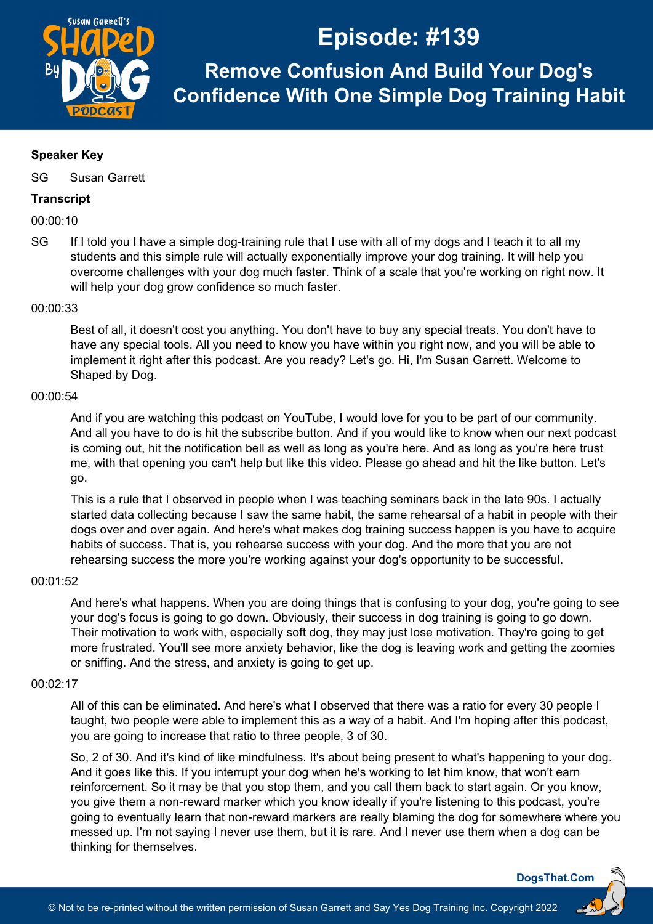

**Remove Confusion And Build Your Dog's Confidence With One Simple Dog Training Habit**

## **Speaker Key**

SG Susan Garrett

## **Transcript**

00:00:10

SG If I told you I have a simple dog-training rule that I use with all of my dogs and I teach it to all my students and this simple rule will actually exponentially improve your dog training. It will help you overcome challenges with your dog much faster. Think of a scale that you're working on right now. It will help your dog grow confidence so much faster.

## 00:00:33

Best of all, it doesn't cost you anything. You don't have to buy any special treats. You don't have to have any special tools. All you need to know you have within you right now, and you will be able to implement it right after this podcast. Are you ready? Let's go. Hi, I'm Susan Garrett. Welcome to Shaped by Dog.

## 00:00:54

And if you are watching this podcast on YouTube, I would love for you to be part of our community. And all you have to do is hit the subscribe button. And if you would like to know when our next podcast is coming out, hit the notification bell as well as long as you're here. And as long as you're here trust me, with that opening you can't help but like this video. Please go ahead and hit the like button. Let's go.

This is a rule that I observed in people when I was teaching seminars back in the late 90s. I actually started data collecting because I saw the same habit, the same rehearsal of a habit in people with their dogs over and over again. And here's what makes dog training success happen is you have to acquire habits of success. That is, you rehearse success with your dog. And the more that you are not rehearsing success the more you're working against your dog's opportunity to be successful.

#### 00:01:52

And here's what happens. When you are doing things that is confusing to your dog, you're going to see your dog's focus is going to go down. Obviously, their success in dog training is going to go down. Their motivation to work with, especially soft dog, they may just lose motivation. They're going to get more frustrated. You'll see more anxiety behavior, like the dog is leaving work and getting the zoomies or sniffing. And the stress, and anxiety is going to get up.

## 00:02:17

All of this can be eliminated. And here's what I observed that there was a ratio for every 30 people I taught, two people were able to implement this as a way of a habit. And I'm hoping after this podcast, you are going to increase that ratio to three people, 3 of 30.

So, 2 of 30. And it's kind of like mindfulness. It's about being present to what's happening to your dog. And it goes like this. If you interrupt your dog when he's working to let him know, that won't earn reinforcement. So it may be that you stop them, and you call them back to start again. Or you know, you give them a non-reward marker which you know ideally if you're listening to this podcast, you're going to eventually learn that non-reward markers are really blaming the dog for somewhere where you messed up. I'm not saying I never use them, but it is rare. And I never use them when a dog can be thinking for themselves.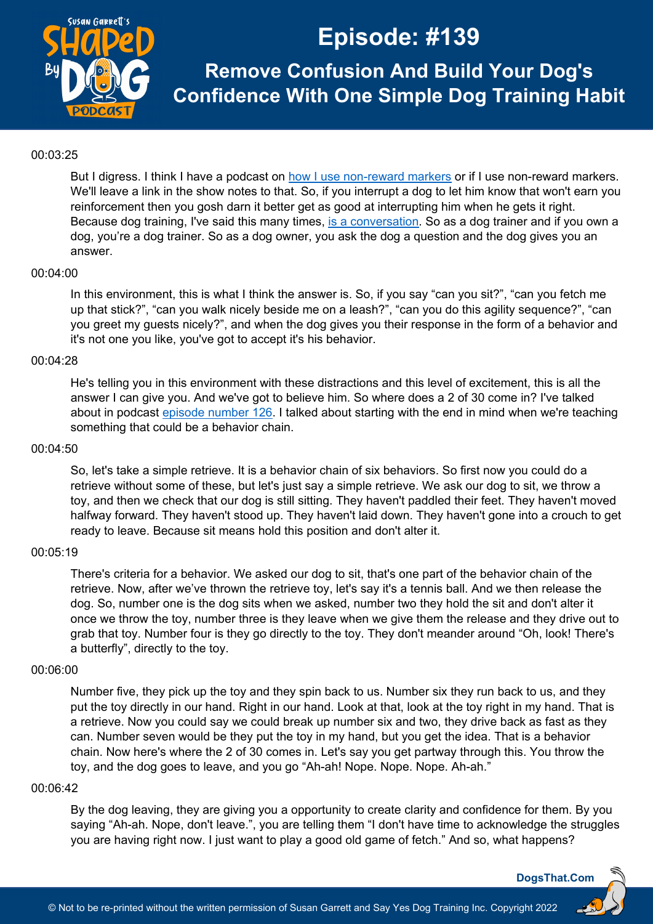

**Remove Confusion And Build Your Dog's Confidence With One Simple Dog Training Habit**

### 00:03:25

But I digress. I think I have a podcast on [how I use non-reward markers](https://dogsthat.com/podcast/64/) or if I use non-reward markers. We'll leave a link in the show notes to that. So, if you interrupt a dog to let him know that won't earn you reinforcement then you gosh darn it better get as good at interrupting him when he gets it right. Because dog training, I've said this many times, [is a conversation.](https://susangarrettdogagility.com/2012/02/distraction-work-in-dog-training-a-conversation-between-friends/) So as a dog trainer and if you own a dog, you're a dog trainer. So as a dog owner, you ask the dog a question and the dog gives you an answer.

## 00:04:00

In this environment, this is what I think the answer is. So, if you say "can you sit?", "can you fetch me up that stick?", "can you walk nicely beside me on a leash?", "can you do this agility sequence?", "can you greet my guests nicely?", and when the dog gives you their response in the form of a behavior and it's not one you like, you've got to accept it's his behavior.

## 00:04:28

He's telling you in this environment with these distractions and this level of excitement, this is all the answer I can give you. And we've got to believe him. So where does a 2 of 30 come in? I've talked about in podcast episode [number 126.](https://dogsthat.com/podcast/126/) I talked about starting with the end in mind when we're teaching something that could be a behavior chain.

## 00:04:50

So, let's take a simple retrieve. It is a behavior chain of six behaviors. So first now you could do a retrieve without some of these, but let's just say a simple retrieve. We ask our dog to sit, we throw a toy, and then we check that our dog is still sitting. They haven't paddled their feet. They haven't moved halfway forward. They haven't stood up. They haven't laid down. They haven't gone into a crouch to get ready to leave. Because sit means hold this position and don't alter it.

## 00:05:19

There's criteria for a behavior. We asked our dog to sit, that's one part of the behavior chain of the retrieve. Now, after we've thrown the retrieve toy, let's say it's a tennis ball. And we then release the dog. So, number one is the dog sits when we asked, number two they hold the sit and don't alter it once we throw the toy, number three is they leave when we give them the release and they drive out to grab that toy. Number four is they go directly to the toy. They don't meander around "Oh, look! There's a butterfly", directly to the toy.

## 00:06:00

Number five, they pick up the toy and they spin back to us. Number six they run back to us, and they put the toy directly in our hand. Right in our hand. Look at that, look at the toy right in my hand. That is a retrieve. Now you could say we could break up number six and two, they drive back as fast as they can. Number seven would be they put the toy in my hand, but you get the idea. That is a behavior chain. Now here's where the 2 of 30 comes in. Let's say you get partway through this. You throw the toy, and the dog goes to leave, and you go "Ah-ah! Nope. Nope. Nope. Ah-ah."

#### 00:06:42

By the dog leaving, they are giving you a opportunity to create clarity and confidence for them. By you saying "Ah-ah. Nope, don't leave.", you are telling them "I don't have time to acknowledge the struggles you are having right now. I just want to play a good old game of fetch." And so, what happens?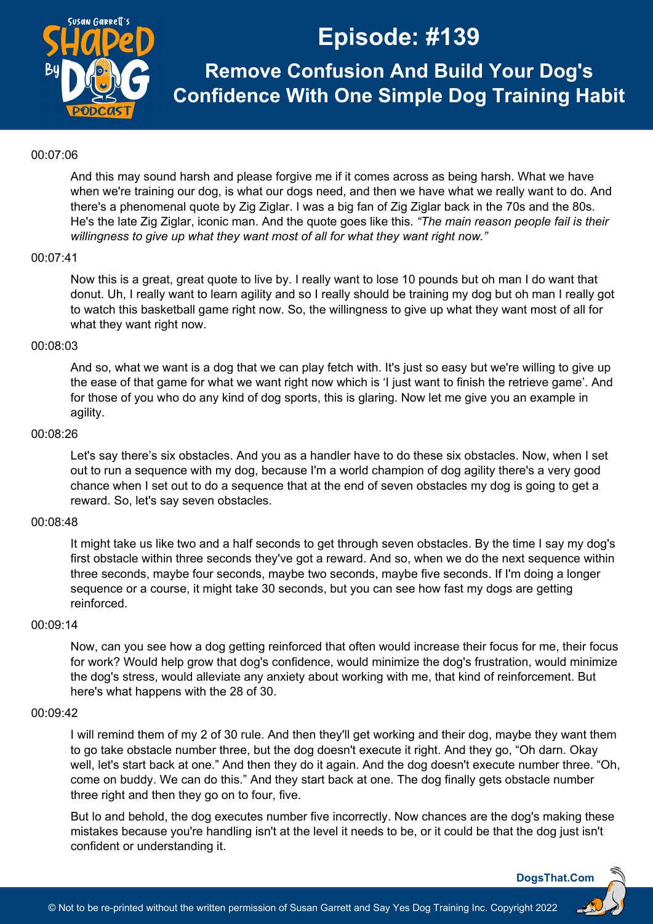

**Remove Confusion And Build Your Dog's Confidence With One Simple Dog Training Habit**

#### 00:07:06

And this may sound harsh and please forgive me if it comes across as being harsh. What we have when we're training our dog, is what our dogs need, and then we have what we really want to do. And there's a phenomenal quote by Zig Ziglar. I was a big fan of Zig Ziglar back in the 70s and the 80s. He's the late Zig Ziglar, iconic man. And the quote goes like this. *"The main reason people fail is their willingness to give up what they want most of all for what they want right now."*

## 00:07:41

Now this is a great, great quote to live by. I really want to lose 10 pounds but oh man I do want that donut. Uh, I really want to learn agility and so I really should be training my dog but oh man I really got to watch this basketball game right now. So, the willingness to give up what they want most of all for what they want right now.

## 00:08:03

And so, what we want is a dog that we can play fetch with. It's just so easy but we're willing to give up the ease of that game for what we want right now which is 'I just want to finish the retrieve game'. And for those of you who do any kind of dog sports, this is glaring. Now let me give you an example in agility.

## 00:08:26

Let's say there's six obstacles. And you as a handler have to do these six obstacles. Now, when I set out to run a sequence with my dog, because I'm a world champion of dog agility there's a very good chance when I set out to do a sequence that at the end of seven obstacles my dog is going to get a reward. So, let's say seven obstacles.

## 00:08:48

It might take us like two and a half seconds to get through seven obstacles. By the time I say my dog's first obstacle within three seconds they've got a reward. And so, when we do the next sequence within three seconds, maybe four seconds, maybe two seconds, maybe five seconds. If I'm doing a longer sequence or a course, it might take 30 seconds, but you can see how fast my dogs are getting reinforced.

### 00:09:14

Now, can you see how a dog getting reinforced that often would increase their focus for me, their focus for work? Would help grow that dog's confidence, would minimize the dog's frustration, would minimize the dog's stress, would alleviate any anxiety about working with me, that kind of reinforcement. But here's what happens with the 28 of 30.

### 00:09:42

I will remind them of my 2 of 30 rule. And then they'll get working and their dog, maybe they want them to go take obstacle number three, but the dog doesn't execute it right. And they go, "Oh darn. Okay well, let's start back at one." And then they do it again. And the dog doesn't execute number three. "Oh, come on buddy. We can do this." And they start back at one. The dog finally gets obstacle number three right and then they go on to four, five.

But lo and behold, the dog executes number five incorrectly. Now chances are the dog's making these mistakes because you're handling isn't at the level it needs to be, or it could be that the dog just isn't confident or understanding it.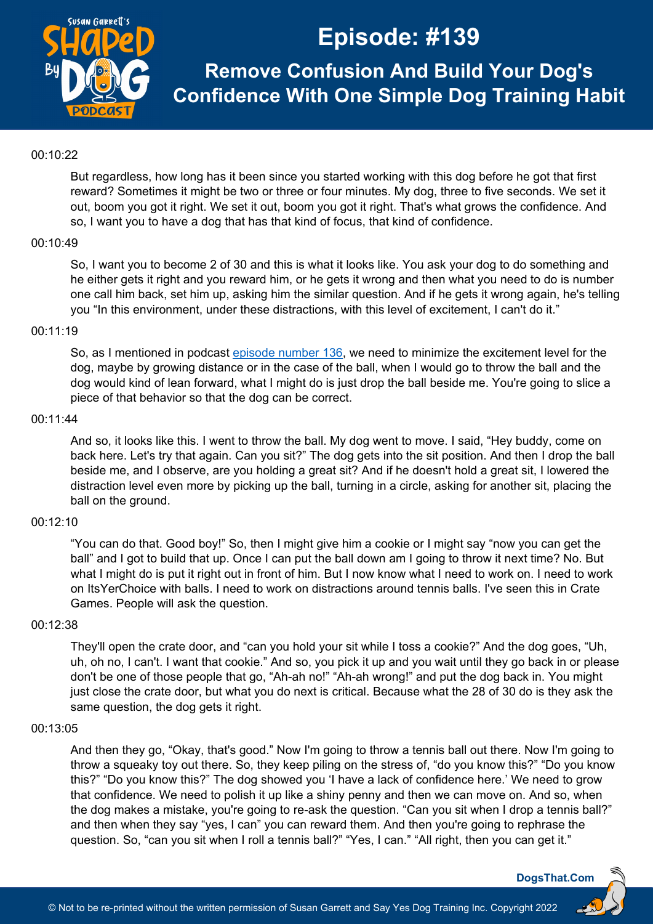

**Remove Confusion And Build Your Dog's Confidence With One Simple Dog Training Habit**

### 00:10:22

But regardless, how long has it been since you started working with this dog before he got that first reward? Sometimes it might be two or three or four minutes. My dog, three to five seconds. We set it out, boom you got it right. We set it out, boom you got it right. That's what grows the confidence. And so, I want you to have a dog that has that kind of focus, that kind of confidence.

#### 00:10:49

So, I want you to become 2 of 30 and this is what it looks like. You ask your dog to do something and he either gets it right and you reward him, or he gets it wrong and then what you need to do is number one call him back, set him up, asking him the similar question. And if he gets it wrong again, he's telling you "In this environment, under these distractions, with this level of excitement, I can't do it."

## 00:11:19

So, as I mentioned in podcast [episode number 136,](https://dogsthat.com/podcast/136/) we need to minimize the excitement level for the dog, maybe by growing distance or in the case of the ball, when I would go to throw the ball and the dog would kind of lean forward, what I might do is just drop the ball beside me. You're going to slice a piece of that behavior so that the dog can be correct.

#### 00:11:44

And so, it looks like this. I went to throw the ball. My dog went to move. I said, "Hey buddy, come on back here. Let's try that again. Can you sit?" The dog gets into the sit position. And then I drop the ball beside me, and I observe, are you holding a great sit? And if he doesn't hold a great sit, I lowered the distraction level even more by picking up the ball, turning in a circle, asking for another sit, placing the ball on the ground.

## 00:12:10

"You can do that. Good boy!" So, then I might give him a cookie or I might say "now you can get the ball" and I got to build that up. Once I can put the ball down am I going to throw it next time? No. But what I might do is put it right out in front of him. But I now know what I need to work on. I need to work on ItsYerChoice with balls. I need to work on distractions around tennis balls. I've seen this in Crate Games. People will ask the question.

#### 00:12:38

They'll open the crate door, and "can you hold your sit while I toss a cookie?" And the dog goes, "Uh, uh, oh no, I can't. I want that cookie." And so, you pick it up and you wait until they go back in or please don't be one of those people that go, "Ah-ah no!" "Ah-ah wrong!" and put the dog back in. You might just close the crate door, but what you do next is critical. Because what the 28 of 30 do is they ask the same question, the dog gets it right.

### 00:13:05

And then they go, "Okay, that's good." Now I'm going to throw a tennis ball out there. Now I'm going to throw a squeaky toy out there. So, they keep piling on the stress of, "do you know this?" "Do you know this?" "Do you know this?" The dog showed you 'I have a lack of confidence here.' We need to grow that confidence. We need to polish it up like a shiny penny and then we can move on. And so, when the dog makes a mistake, you're going to re-ask the question. "Can you sit when I drop a tennis ball?" and then when they say "yes, I can" you can reward them. And then you're going to rephrase the question. So, "can you sit when I roll a tennis ball?" "Yes, I can." "All right, then you can get it."

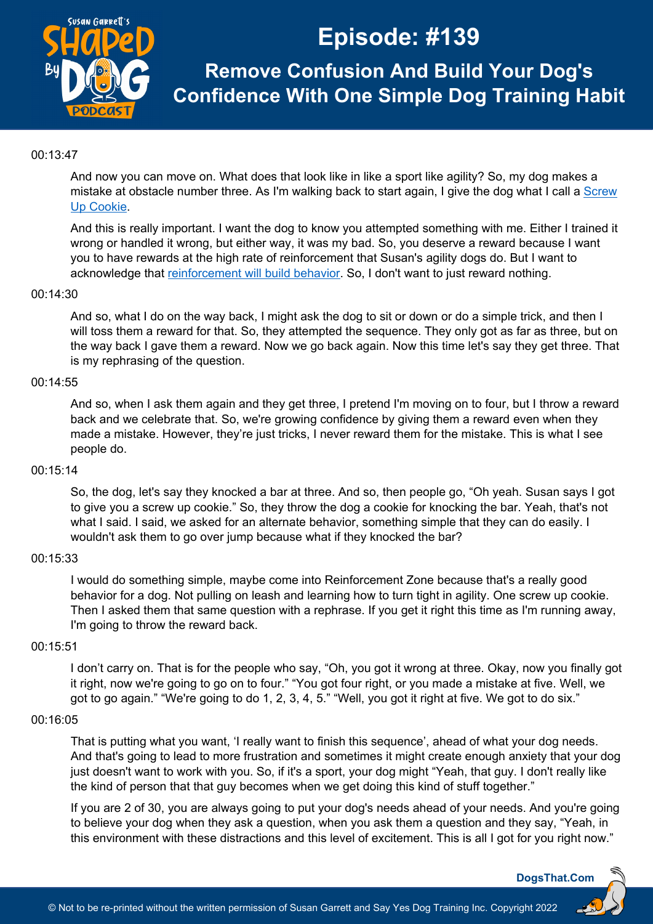

**Remove Confusion And Build Your Dog's Confidence With One Simple Dog Training Habit**

## 00:13:47

And now you can move on. What does that look like in like a sport like agility? So, my dog makes a mistake at obstacle number three. As I'm walking back to start again, I give the dog what I call a Screw [Up Cookie.](https://susangarrettdogagility.com/2019/05/screw-up-cookies/)

And this is really important. I want the dog to know you attempted something with me. Either I trained it wrong or handled it wrong, but either way, it was my bad. So, you deserve a reward because I want you to have rewards at the high rate of reinforcement that Susan's agility dogs do. But I want to acknowledge that [reinforcement will build behavior.](https://dogsthat.com/podcast/2/) So, I don't want to just reward nothing.

## 00:14:30

And so, what I do on the way back, I might ask the dog to sit or down or do a simple trick, and then I will toss them a reward for that. So, they attempted the sequence. They only got as far as three, but on the way back I gave them a reward. Now we go back again. Now this time let's say they get three. That is my rephrasing of the question.

#### 00:14:55

And so, when I ask them again and they get three, I pretend I'm moving on to four, but I throw a reward back and we celebrate that. So, we're growing confidence by giving them a reward even when they made a mistake. However, they're just tricks, I never reward them for the mistake. This is what I see people do.

#### 00:15:14

So, the dog, let's say they knocked a bar at three. And so, then people go, "Oh yeah. Susan says I got to give you a screw up cookie." So, they throw the dog a cookie for knocking the bar. Yeah, that's not what I said. I said, we asked for an alternate behavior, something simple that they can do easily. I wouldn't ask them to go over jump because what if they knocked the bar?

#### 00:15:33

I would do something simple, maybe come into Reinforcement Zone because that's a really good behavior for a dog. Not pulling on leash and learning how to turn tight in agility. One screw up cookie. Then I asked them that same question with a rephrase. If you get it right this time as I'm running away, I'm going to throw the reward back.

#### 00:15:51

I don't carry on. That is for the people who say, "Oh, you got it wrong at three. Okay, now you finally got it right, now we're going to go on to four." "You got four right, or you made a mistake at five. Well, we got to go again." "We're going to do 1, 2, 3, 4, 5." "Well, you got it right at five. We got to do six."

## 00:16:05

That is putting what you want, 'I really want to finish this sequence', ahead of what your dog needs. And that's going to lead to more frustration and sometimes it might create enough anxiety that your dog just doesn't want to work with you. So, if it's a sport, your dog might "Yeah, that guy. I don't really like the kind of person that that guy becomes when we get doing this kind of stuff together."

If you are 2 of 30, you are always going to put your dog's needs ahead of your needs. And you're going to believe your dog when they ask a question, when you ask them a question and they say, "Yeah, in this environment with these distractions and this level of excitement. This is all I got for you right now."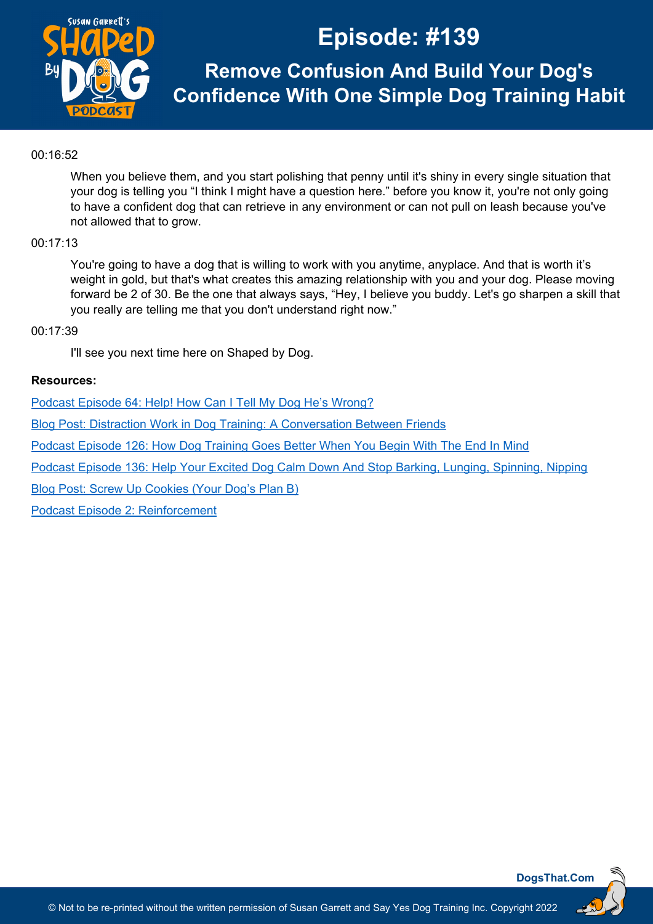

**Remove Confusion And Build Your Dog's Confidence With One Simple Dog Training Habit**

## 00:16:52

When you believe them, and you start polishing that penny until it's shiny in every single situation that your dog is telling you "I think I might have a question here." before you know it, you're not only going to have a confident dog that can retrieve in any environment or can not pull on leash because you've not allowed that to grow.

## 00:17:13

You're going to have a dog that is willing to work with you anytime, anyplace. And that is worth it's weight in gold, but that's what creates this amazing relationship with you and your dog. Please moving forward be 2 of 30. Be the one that always says, "Hey, I believe you buddy. Let's go sharpen a skill that you really are telling me that you don't understand right now."

## 00:17:39

I'll see you next time here on Shaped by Dog.

## **Resources:**

[Podcast Episode 64: Help! How Can I Tell My Dog He's Wrong?](https://dogsthat.com/podcast/64/)

[Blog Post: Distraction Work in Dog Training: A Conversation Between Friends](https://susangarrettdogagility.com/2012/02/distraction-work-in-dog-training-a-conversation-between-friends/)

[Podcast Episode 126: How Dog Training Goes Better When You Begin With The End In Mind](https://dogsthat.com/podcast/126/)

[Podcast Episode 136: Help Your Excited Dog Calm Down And Stop Barking, Lunging, Spinning, Nipping](https://dogsthat.com/podcast/136/)

[Blog Post: Screw Up Cookies \(Your Dog's Plan B\)](https://susangarrettdogagility.com/2019/05/screw-up-cookies/)

[Podcast Episode 2: Reinforcement](https://dogsthat.com/podcast/2/)